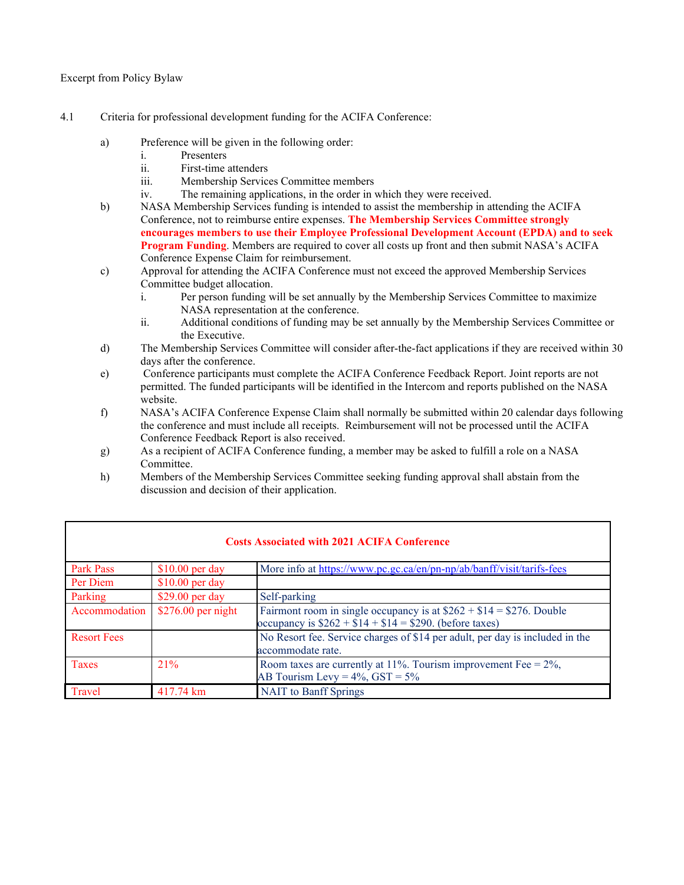Excerpt from Policy Bylaw

- 4.1 Criteria for professional development funding for the ACIFA Conference:
	- a) Preference will be given in the following order:
		- i. Presenters
		- ii. First-time attenders
		- iii. Membership Services Committee members
		- iv. The remaining applications, in the order in which they were received.
	- b) NASA Membership Services funding is intended to assist the membership in attending the ACIFA Conference, not to reimburse entire expenses. **The Membership Services Committee strongly encourages members to use their Employee Professional Development Account (EPDA) and to seek Program Funding**. Members are required to cover all costs up front and then submit NASA's ACIFA Conference Expense Claim for reimbursement.
	- c) Approval for attending the ACIFA Conference must not exceed the approved Membership Services Committee budget allocation.
		- i. Per person funding will be set annually by the Membership Services Committee to maximize NASA representation at the conference.
		- ii. Additional conditions of funding may be set annually by the Membership Services Committee or the Executive.
	- d) The Membership Services Committee will consider after-the-fact applications if they are received within 30 days after the conference.
	- e) Conference participants must complete the ACIFA Conference Feedback Report. Joint reports are not permitted. The funded participants will be identified in the Intercom and reports published on the NASA website.
	- f) NASA's ACIFA Conference Expense Claim shall normally be submitted within 20 calendar days following the conference and must include all receipts. Reimbursement will not be processed until the ACIFA Conference Feedback Report is also received.
	- g) As a recipient of ACIFA Conference funding, a member may be asked to fulfill a role on a NASA Committee.
	- h) Members of the Membership Services Committee seeking funding approval shall abstain from the discussion and decision of their application.

| <b>Costs Associated with 2021 ACIFA Conference</b> |                     |                                                                                                                                 |  |  |  |  |  |
|----------------------------------------------------|---------------------|---------------------------------------------------------------------------------------------------------------------------------|--|--|--|--|--|
| Park Pass                                          | $$10.00$ per day    | More info at https://www.pc.gc.ca/en/pn-np/ab/banff/visit/tarifs-fees                                                           |  |  |  |  |  |
| Per Diem                                           | $$10.00$ per day    |                                                                                                                                 |  |  |  |  |  |
| Parking                                            | $$29.00$ per day    | Self-parking                                                                                                                    |  |  |  |  |  |
| Accommodation                                      | $$276.00$ per night | Fairmont room in single occupancy is at $$262 + $14 = $276$ . Double<br>occupancy is $$262 + $14 + $14 = $290$ . (before taxes) |  |  |  |  |  |
| <b>Resort Fees</b>                                 |                     | No Resort fee. Service charges of \$14 per adult, per day is included in the<br>accommodate rate.                               |  |  |  |  |  |
| Taxes                                              | 21%                 | Room taxes are currently at 11%. Tourism improvement Fee = $2\%$ ,<br>AB Tourism Levy = $4\%$ , GST = $5\%$                     |  |  |  |  |  |
| Travel                                             | 417.74 km           | <b>NAIT</b> to Banff Springs                                                                                                    |  |  |  |  |  |